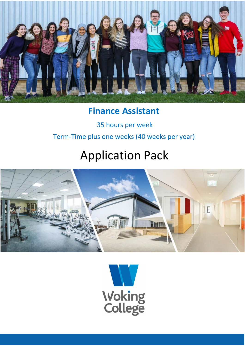

### **Finance Assistant**

35 hours per week Term-Time plus one weeks (40 weeks per year)

# Application Pack



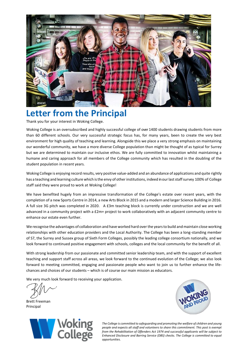

### **Letter from the Principal**

Thank you for your interest in Woking College.

Woking College is an oversubscribed and highly successful college of over 1400 students drawing students from more than 60 different schools. Our very successful strategic focus has, for many years, been to create the very best environment for high quality of teaching and learning. Alongside this we place a very strong emphasis on maintaining our wonderful community, we have a more diverse College population than might be thought of as typical for Surrey but we are determined to maintain our inclusive ethos. We are fully committed to innovation whilst maintaining a humane and caring approach for all members of the College community which has resulted in the doubling of the student population in recent years.

Woking College is enjoying record results, very positive value-added and an abundance of applications and quite rightly has a teaching and learning culture which is the envy of other institutions, indeed in our last staff survey 100% of College staff said they were proud to work at Woking College!

We have benefited hugely from an impressive transformation of the College's estate over recent years, with the completion of a new Sports Centre in 2014, a new Arts Block in 2015 and a modern and larger Science Building in 2016. A full size 3G pitch was completed in 2020. A £3m teaching block is currently under construction and we are well advanced in a community project with a £2m+ project to work collaboratively with an adjacent community centre to enhance our estate even further.

We recognise the advantages of collaboration and have worked hard over the years to build and maintain close working relationships with other education providers and the Local Authority. The College has been a long-standing member of S7, the Surrey and Sussex group of Sixth Form Colleges, possibly the leading college consortium nationally, and we look forward to continued positive engagement with schools, colleges and the local community for the benefit of all.

With strong leadership from our passionate and committed senior leadership team, and with the support of excellent teaching and support staff across all areas, we look forward to the continued evolution of the College; we also look forward to meeting committed, engaging and passionate people who want to join us to further enhance the lifechances and choices of our students – which is of course our main mission as educators.

We very much look forward to receiving your application.

Brett Freeman Principal



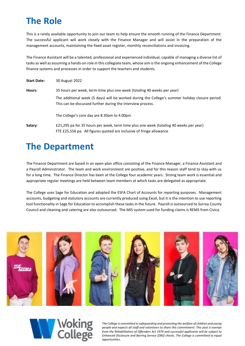## **The Role**

This is a rarely available opportunity to join our team to help ensure the smooth running of the Finance Department. The successful applicant will work closely with the Finance Manager and will assist in the preparation of the management accounts, maintaining the fixed asset register, monthly reconciliations and invoicing.

The Finance Assistant will be a talented, professional and experienced individual, capable of managing a diverse list of tasks as well as assuming a hands-on role in this collegiate team, whose aim is the ongoing enhancement of the College finance systems and processes in order to support the teachers and students.

| <b>Start Date:</b> | 30 August 2022                                                                                                                                                                                                                            |
|--------------------|-------------------------------------------------------------------------------------------------------------------------------------------------------------------------------------------------------------------------------------------|
| Hours:             | 35 hours per week, term-time plus one week (totaling 40 weeks per year)<br>The additional week (5 days) will be worked during the College's summer holiday closure period.<br>This can be discussed further during the interview process. |
|                    | The College's core day are 8.30am to 4.00pm                                                                                                                                                                                               |
| Salary:            | £21,295 pa for 35 hours per week, term time plus one week (totaling 40 weeks per year)<br>FTE £25,556 pa. All figures quoted are inclusive of fringe allowance                                                                            |

### **The Department**

The Finance Department are based in an open-plan office consisting of the Finance Manager, a Finance Assistant and a Payroll Administrator. The team and work environment are positive, and for this reason staff tend to stay with us for a long time. The Finance Director has been at the College four academic years. Strong team work is essential and appropriate regular meetings are held between team members at which tasks are delegated as appropriate.

The College uses Sage for Education and adopted the ESFA Chart of Accounts for reporting purposes. Management accounts, budgeting and statutory accounts are currently produced using Excel, but it is the intention to use reporting tool functionality in Sage for Education to accomplish these tasks in the future. Payroll is outsourced to Surrey County Council and cleaning and catering are also outsourced. The MIS system used for funding claims is REMS from Civica.



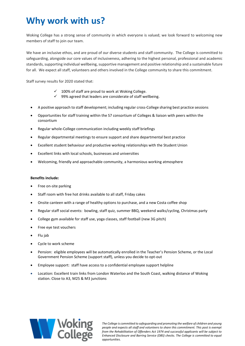## **Why work with us?**

Woking College has a strong sense of community in which everyone is valued; we look forward to welcoming new members of staff to join our team.

We have an inclusive ethos, and are proud of our diverse students and staff community. The College is committed to safeguarding, alongside our core values of inclusiveness, adhering to the highest personal, professional and academic standards, supporting individual wellbeing, supportive management and positive relationship and a sustainable future for all. We expect all staff, volunteers and others involved in the College community to share this commitment.

Staff survey results for 2020 stated that:

- $\checkmark$  100% of staff are proud to work at Woking College.
- ✓ 99% agreed that leaders are considerate of staff wellbeing.
- A positive approach to staff development; including regular cross-College sharing best practice sessions
- Opportunities for staff training within the S7 consortium of Colleges & liaison with peers within the consortium
- Regular whole-College communication including weekly staff briefings
- Regular departmental meetings to ensure support and share departmental best practice
- Excellent student behaviour and productive working relationships with the Student Union
- Excellent links with local schools, businesses and universities
- Welcoming, friendly and approachable community, a harmonious working atmosphere

### **Benefits include:**

- Free on-site parking
- Staff room with free hot drinks available to all staff, Friday cakes
- Onsite canteen with a range of healthy options to purchase, and a new Costa coffee shop
- Regular staff social events: bowling, staff quiz, summer BBQ, weekend walks/cycling, Christmas party
- College gym available for staff use, yoga classes, staff football (new 3G pitch)
- Free eye test vouchers
- Flu jab
- Cycle to work scheme
- Pension: eligible employees will be automatically enrolled in the Teacher's Pension Scheme, or the Local Government Pension Scheme (support staff), unless you decide to opt-out
- Employee support: staff have access to a confidential employee support helpline
- Location: Excellent train links from London Waterloo and the South Coast, walking distance of Woking station. Close to A3, M25 & M3 junctions

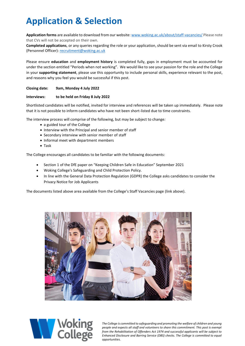## **Application & Selection**

**Application forms** are available to download from our website[: www.woking.ac.uk/about/staff-vacancies/](http://www.woking.ac.uk/about/staff-vacancies/) Please note that CVs will not be accepted on their own.

**Completed applications**, or any queries regarding the role or your application, should be sent via email to Kirsty Crook (Personnel Officer)[: recruitment@woking.ac.uk](mailto:recruitment@woking.ac.uk)

Please ensure **education** and **employment history** is completed fully, gaps in employment must be accounted for under the section entitled "Periods when not working". We would like to see your passion for the role and the College in your **supporting statement**, please use this opportunity to include personal skills, experience relevant to the post, and reasons why you feel you would be successful if this post.

### **Closing date: 9am, Monday 4 July 2022**

### **Interviews: to be held on Friday 8 July 2022**

Shortlisted candidates will be notified, invited for interview and references will be taken up immediately. Please note that it is not possible to inform candidates who have not been short-listed due to time constraints.

The interview process will comprise of the following, but may be subject to change*:*

- a guided tour of the College
- Interview with the Principal and senior member of staff
- Secondary interview with senior member of staff
- Informal meet with department members
- Task

The College encourages all candidates to be familiar with the following documents:

- Section 1 of the DfE paper on "Keeping Children Safe in Education" September 2021
- Woking College's Safeguarding and Child Protection Policy.
- In line with the General Data Protection Regulation (GDPR) the College asks candidates to consider the Privacy Notice for Job Applicants

The documents listed above area available from the College's Staff Vacancies page (link above).



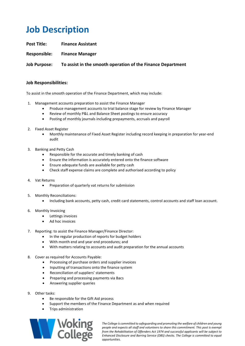## **Job Description**

**Post Title: Finance Assistant**

**Responsible: Finance Manager**

**Job Purpose: To assist in the smooth operation of the Finance Department**

### **Job Responsibilities:**

To assist in the smooth operation of the Finance Department, which may include:

- 1. Management accounts preparation to assist the Finance Manager
	- Produce management accounts to trial balance stage for review by Finance Manager
	- Review of monthly P&L and Balance Sheet postings to ensure accuracy
	- Posting of monthly journals including prepayments, accruals and payroll
- 2. Fixed Asset Register
	- Monthly maintenance of Fixed Asset Register including record keeping in preparation for year-end audit
- 3. Banking and Petty Cash
	- Responsible for the accurate and timely banking of cash
	- Ensure the information is accurately entered onto the finance software
	- Ensure adequate funds are available for petty cash
	- Check staff expense claims are complete and authorised according to policy
- 4. Vat Returns
	- Preparation of quarterly vat returns for submission
- 5. Monthly Reconciliations:
	- Including bank accounts, petty cash, credit card statements, control accounts and staff loan account.
- 6. Monthly Invoicing
	- Lettings invoices
	- Ad hoc invoices
- 7. Reporting: to assist the Finance Manager/Finance Director:
	- In the regular production of reports for budget holders
	- With month end and year end procedures; and
	- With matters relating to accounts and audit preparation for the annual accounts
- 8. Cover as required for Accounts Payable:
	- Processing of purchase orders and supplier invoices
	- Inputting of transactions onto the finance system
	- Reconciliation of suppliers' statements
	- Preparing and processing payments via Bacs
	- Answering supplier queries
- 9. Other tasks:
	- Be responsible for the Gift Aid process
	- Support the members of the Finance Department as and when required
	- Trips administration